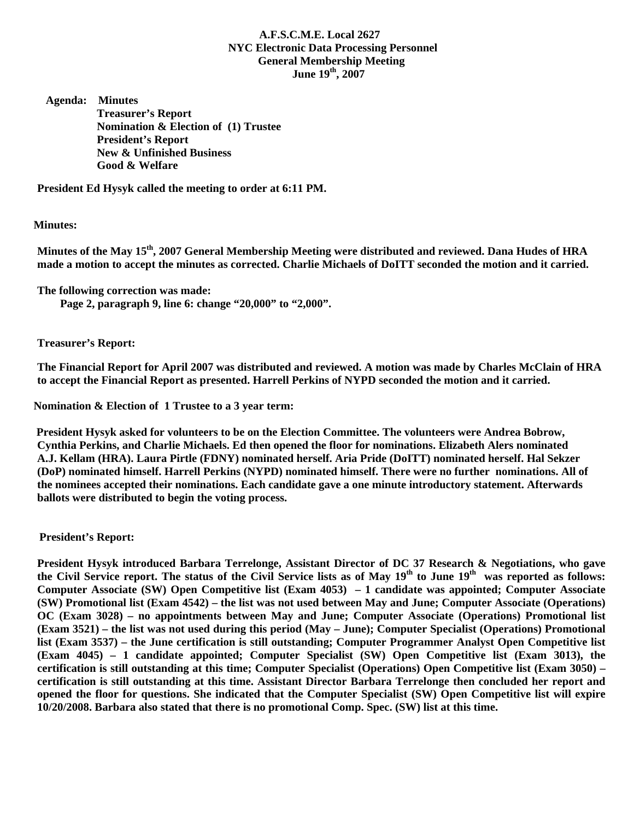## **A.F.S.C.M.E. Local 2627 NYC Electronic Data Processing Personnel General Membership Meeting**  June  $19<sup>th</sup>$ , 2007

 **Agenda: Minutes Treasurer's Report Nomination & Election of (1) Trustee President's Report New & Unfinished Business Good & Welfare** 

**President Ed Hysyk called the meeting to order at 6:11 PM.** 

## **Minutes:**

Minutes of the May 15<sup>th</sup>, 2007 General Membership Meeting were distributed and reviewed. Dana Hudes of HRA **made a motion to accept the minutes as corrected. Charlie Michaels of DoITT seconded the motion and it carried.** 

**The following correction was made:** 

 **Page 2, paragraph 9, line 6: change "20,000" to "2,000".** 

**Treasurer's Report:** 

**The Financial Report for April 2007 was distributed and reviewed. A motion was made by Charles McClain of HRA to accept the Financial Report as presented. Harrell Perkins of NYPD seconded the motion and it carried.** 

 **Nomination & Election of 1 Trustee to a 3 year term:** 

 **President Hysyk asked for volunteers to be on the Election Committee. The volunteers were Andrea Bobrow, Cynthia Perkins, and Charlie Michaels. Ed then opened the floor for nominations. Elizabeth Alers nominated A.J. Kellam (HRA). Laura Pirtle (FDNY) nominated herself. Aria Pride (DoITT) nominated herself. Hal Sekzer (DoP) nominated himself. Harrell Perkins (NYPD) nominated himself. There were no further nominations. All of the nominees accepted their nominations. Each candidate gave a one minute introductory statement. Afterwards ballots were distributed to begin the voting process.** 

## **President's Report:**

**President Hysyk introduced Barbara Terrelonge, Assistant Director of DC 37 Research & Negotiations, who gave**  the Civil Service report. The status of the Civil Service lists as of May 19<sup>th</sup> to June 19<sup>th</sup> was reported as follows: **Computer Associate (SW) Open Competitive list (Exam 4053) – 1 candidate was appointed; Computer Associate (SW) Promotional list (Exam 4542) – the list was not used between May and June; Computer Associate (Operations) OC (Exam 3028) – no appointments between May and June; Computer Associate (Operations) Promotional list (Exam 3521) – the list was not used during this period (May – June); Computer Specialist (Operations) Promotional list (Exam 3537) – the June certification is still outstanding; Computer Programmer Analyst Open Competitive list (Exam 4045) – 1 candidate appointed; Computer Specialist (SW) Open Competitive list (Exam 3013), the certification is still outstanding at this time; Computer Specialist (Operations) Open Competitive list (Exam 3050) – certification is still outstanding at this time. Assistant Director Barbara Terrelonge then concluded her report and opened the floor for questions. She indicated that the Computer Specialist (SW) Open Competitive list will expire 10/20/2008. Barbara also stated that there is no promotional Comp. Spec. (SW) list at this time.**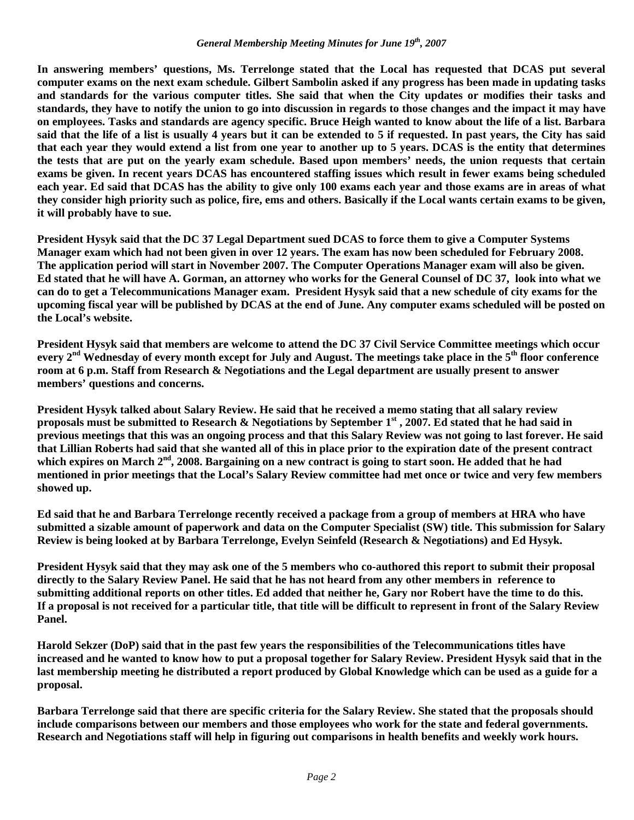## *General Membership Meeting Minutes for June 19th, 2007*

**In answering members' questions, Ms. Terrelonge stated that the Local has requested that DCAS put several computer exams on the next exam schedule. Gilbert Sambolin asked if any progress has been made in updating tasks and standards for the various computer titles. She said that when the City updates or modifies their tasks and standards, they have to notify the union to go into discussion in regards to those changes and the impact it may have on employees. Tasks and standards are agency specific. Bruce Heigh wanted to know about the life of a list. Barbara said that the life of a list is usually 4 years but it can be extended to 5 if requested. In past years, the City has said that each year they would extend a list from one year to another up to 5 years. DCAS is the entity that determines the tests that are put on the yearly exam schedule. Based upon members' needs, the union requests that certain exams be given. In recent years DCAS has encountered staffing issues which result in fewer exams being scheduled each year. Ed said that DCAS has the ability to give only 100 exams each year and those exams are in areas of what they consider high priority such as police, fire, ems and others. Basically if the Local wants certain exams to be given, it will probably have to sue.** 

**President Hysyk said that the DC 37 Legal Department sued DCAS to force them to give a Computer Systems Manager exam which had not been given in over 12 years. The exam has now been scheduled for February 2008. The application period will start in November 2007. The Computer Operations Manager exam will also be given. Ed stated that he will have A. Gorman, an attorney who works for the General Counsel of DC 37, look into what we can do to get a Telecommunications Manager exam. President Hysyk said that a new schedule of city exams for the upcoming fiscal year will be published by DCAS at the end of June. Any computer exams scheduled will be posted on the Local's website.** 

**President Hysyk said that members are welcome to attend the DC 37 Civil Service Committee meetings which occur every 2nd Wednesday of every month except for July and August. The meetings take place in the 5th floor conference room at 6 p.m. Staff from Research & Negotiations and the Legal department are usually present to answer members' questions and concerns.** 

**President Hysyk talked about Salary Review. He said that he received a memo stating that all salary review proposals must be submitted to Research & Negotiations by September 1st , 2007. Ed stated that he had said in previous meetings that this was an ongoing process and that this Salary Review was not going to last forever. He said that Lillian Roberts had said that she wanted all of this in place prior to the expiration date of the present contract**  which expires on March 2<sup>nd</sup>, 2008. Bargaining on a new contract is going to start soon. He added that he had **mentioned in prior meetings that the Local's Salary Review committee had met once or twice and very few members showed up.** 

**Ed said that he and Barbara Terrelonge recently received a package from a group of members at HRA who have submitted a sizable amount of paperwork and data on the Computer Specialist (SW) title. This submission for Salary Review is being looked at by Barbara Terrelonge, Evelyn Seinfeld (Research & Negotiations) and Ed Hysyk.** 

**President Hysyk said that they may ask one of the 5 members who co-authored this report to submit their proposal directly to the Salary Review Panel. He said that he has not heard from any other members in reference to submitting additional reports on other titles. Ed added that neither he, Gary nor Robert have the time to do this. If a proposal is not received for a particular title, that title will be difficult to represent in front of the Salary Review Panel.** 

**Harold Sekzer (DoP) said that in the past few years the responsibilities of the Telecommunications titles have increased and he wanted to know how to put a proposal together for Salary Review. President Hysyk said that in the last membership meeting he distributed a report produced by Global Knowledge which can be used as a guide for a proposal.** 

**Barbara Terrelonge said that there are specific criteria for the Salary Review. She stated that the proposals should include comparisons between our members and those employees who work for the state and federal governments. Research and Negotiations staff will help in figuring out comparisons in health benefits and weekly work hours.**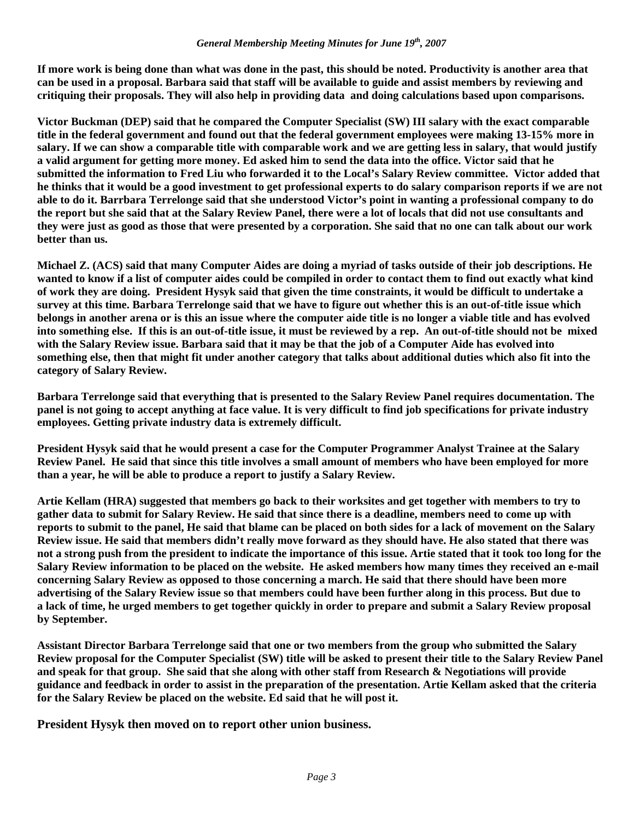**If more work is being done than what was done in the past, this should be noted. Productivity is another area that can be used in a proposal. Barbara said that staff will be available to guide and assist members by reviewing and critiquing their proposals. They will also help in providing data and doing calculations based upon comparisons.** 

**Victor Buckman (DEP) said that he compared the Computer Specialist (SW) III salary with the exact comparable title in the federal government and found out that the federal government employees were making 13-15% more in salary. If we can show a comparable title with comparable work and we are getting less in salary, that would justify a valid argument for getting more money. Ed asked him to send the data into the office. Victor said that he submitted the information to Fred Liu who forwarded it to the Local's Salary Review committee. Victor added that he thinks that it would be a good investment to get professional experts to do salary comparison reports if we are not able to do it. Barrbara Terrelonge said that she understood Victor's point in wanting a professional company to do the report but she said that at the Salary Review Panel, there were a lot of locals that did not use consultants and they were just as good as those that were presented by a corporation. She said that no one can talk about our work better than us.** 

**Michael Z. (ACS) said that many Computer Aides are doing a myriad of tasks outside of their job descriptions. He wanted to know if a list of computer aides could be compiled in order to contact them to find out exactly what kind of work they are doing. President Hysyk said that given the time constraints, it would be difficult to undertake a survey at this time. Barbara Terrelonge said that we have to figure out whether this is an out-of-title issue which belongs in another arena or is this an issue where the computer aide title is no longer a viable title and has evolved into something else. If this is an out-of-title issue, it must be reviewed by a rep. An out-of-title should not be mixed with the Salary Review issue. Barbara said that it may be that the job of a Computer Aide has evolved into something else, then that might fit under another category that talks about additional duties which also fit into the category of Salary Review.** 

**Barbara Terrelonge said that everything that is presented to the Salary Review Panel requires documentation. The panel is not going to accept anything at face value. It is very difficult to find job specifications for private industry employees. Getting private industry data is extremely difficult.** 

**President Hysyk said that he would present a case for the Computer Programmer Analyst Trainee at the Salary Review Panel. He said that since this title involves a small amount of members who have been employed for more than a year, he will be able to produce a report to justify a Salary Review.** 

**Artie Kellam (HRA) suggested that members go back to their worksites and get together with members to try to gather data to submit for Salary Review. He said that since there is a deadline, members need to come up with reports to submit to the panel, He said that blame can be placed on both sides for a lack of movement on the Salary Review issue. He said that members didn't really move forward as they should have. He also stated that there was not a strong push from the president to indicate the importance of this issue. Artie stated that it took too long for the Salary Review information to be placed on the website. He asked members how many times they received an e-mail concerning Salary Review as opposed to those concerning a march. He said that there should have been more advertising of the Salary Review issue so that members could have been further along in this process. But due to a lack of time, he urged members to get together quickly in order to prepare and submit a Salary Review proposal by September.** 

**Assistant Director Barbara Terrelonge said that one or two members from the group who submitted the Salary Review proposal for the Computer Specialist (SW) title will be asked to present their title to the Salary Review Panel and speak for that group. She said that she along with other staff from Research & Negotiations will provide guidance and feedback in order to assist in the preparation of the presentation. Artie Kellam asked that the criteria for the Salary Review be placed on the website. Ed said that he will post it.** 

**President Hysyk then moved on to report other union business.**